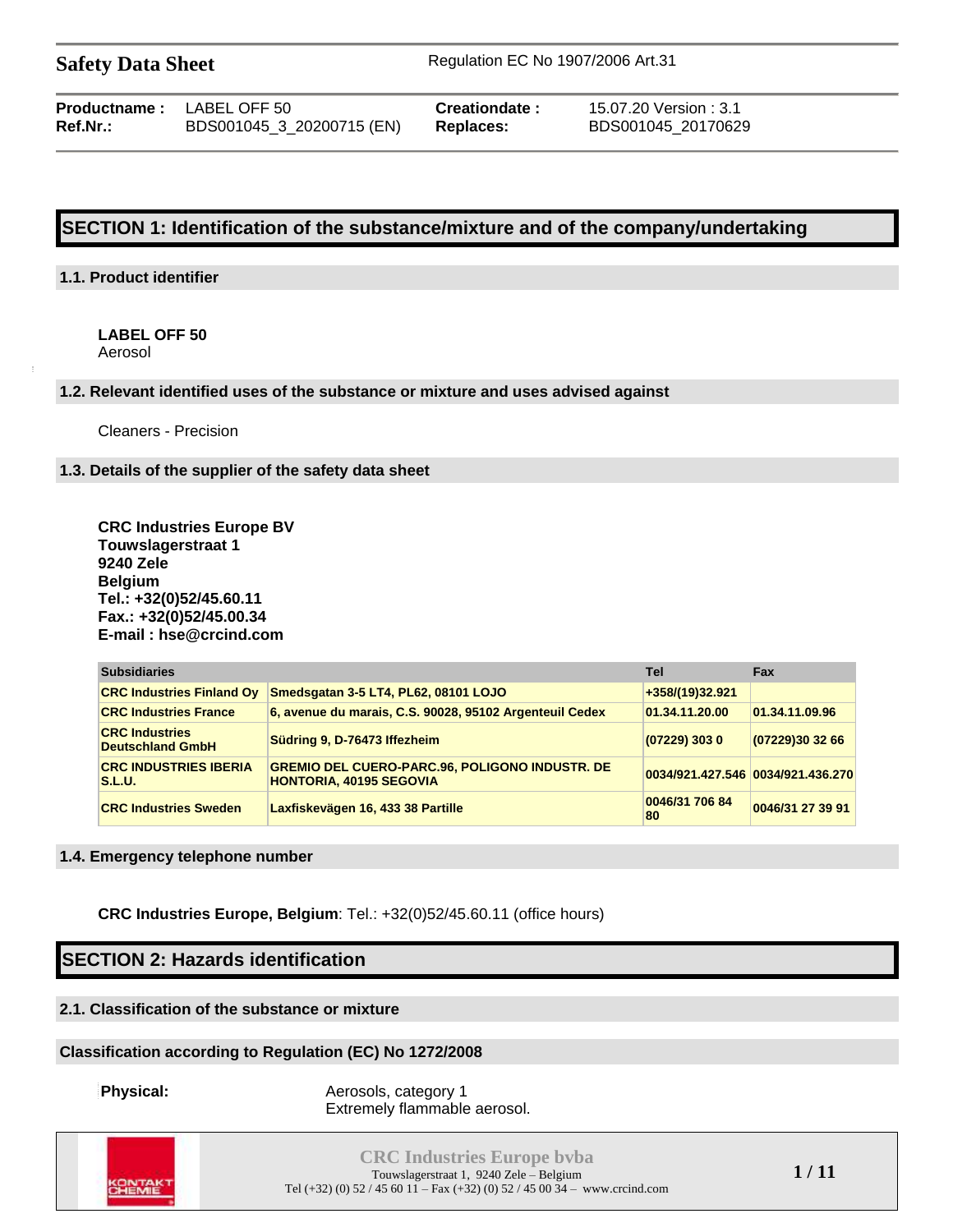**Productname :** LABEL OFF 50 **Creationdate :** 15.07.20 Version : 3.1 **Ref.Nr.:** BDS001045\_3\_20200715 (EN) **Replaces:** BDS001045\_20170629

## **SECTION 1: Identification of the substance/mixture and of the company/undertaking**

#### **1.1. Product identifier**

**LABEL OFF 50** Aerosol

#### **1.2. Relevant identified uses of the substance or mixture and uses advised against**

Cleaners - Precision

#### **1.3. Details of the supplier of the safety data sheet**

**CRC Industries Europe BV Touwslagerstraat 1 9240 Zele Belgium Tel.: +32(0)52/45.60.11 Fax.: +32(0)52/45.00.34 E-mail : hse@crcind.com**

| <b>Subsidiaries</b>                              |                                                                                         | <b>Tel</b>           | <b>Fax</b>                        |
|--------------------------------------------------|-----------------------------------------------------------------------------------------|----------------------|-----------------------------------|
| <b>CRC Industries Finland Ov</b>                 | Smedsgatan 3-5 LT4, PL62, 08101 LOJO                                                    | +358/(19)32.921      |                                   |
| <b>CRC Industries France</b>                     | 6, avenue du marais, C.S. 90028, 95102 Argenteuil Cedex                                 | 01.34.11.20.00       | 01.34.11.09.96                    |
| <b>CRC Industries</b><br><b>Deutschland GmbH</b> | Südring 9, D-76473 Iffezheim                                                            | $(07229)$ 303 0      | (07229)30 32 66                   |
| <b>CRC INDUSTRIES IBERIA</b><br><b>S.L.U.</b>    | <b>GREMIO DEL CUERO-PARC.96, POLIGONO INDUSTR. DE</b><br><b>HONTORIA, 40195 SEGOVIA</b> |                      | 0034/921.427.546 0034/921.436.270 |
| <b>CRC Industries Sweden</b>                     | Laxfiskevägen 16, 433 38 Partille                                                       | 0046/31 706 84<br>80 | 0046/31 27 39 91                  |

#### **1.4. Emergency telephone number**

**CRC Industries Europe, Belgium**: Tel.: +32(0)52/45.60.11 (office hours)

## **SECTION 2: Hazards identification**

### **2.1. Classification of the substance or mixture**

#### **Classification according to Regulation (EC) No 1272/2008**

**Physical:** Aerosols, category 1 Extremely flammable aerosol.



**CRC Industries Europe bvba** Touwslagerstraat 1, 9240 Zele – Belgium Tel (+32) (0) 52 / 45 60 11 – Fax (+32) (0) 52 / 45 00 34 – www.crcind.com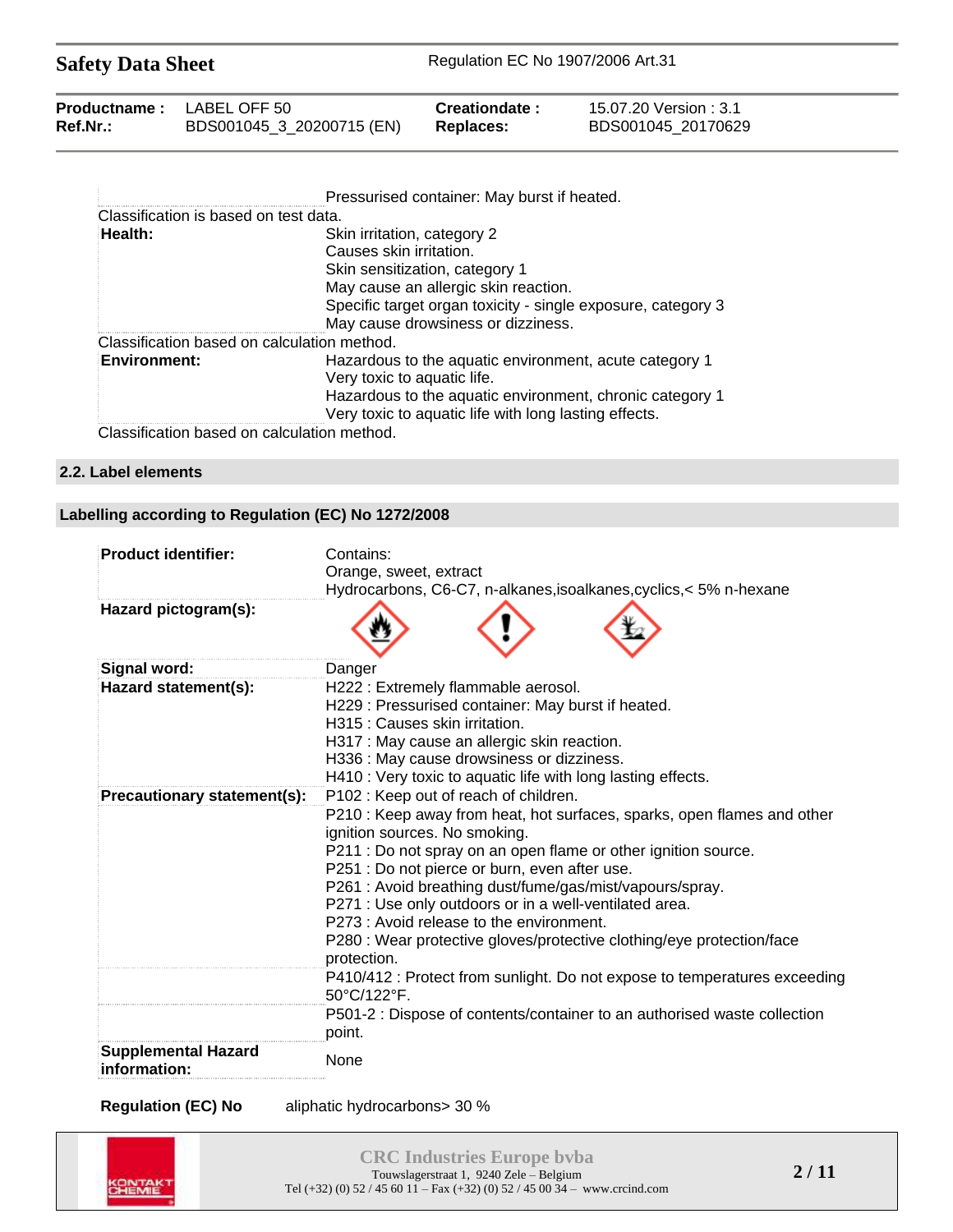| <b>Safety Data Sheet</b> |                           | Regulation EC No 1907/2006 Art.31 |                        |  |
|--------------------------|---------------------------|-----------------------------------|------------------------|--|
| <b>Productname:</b>      | LABEL OFF 50              | Creationdate:                     | 15.07.20 Version : 3.1 |  |
| Ref.Nr.:                 | BDS001045_3_20200715 (EN) | <b>Replaces:</b>                  | BDS001045 20170629     |  |

|                                             | Pressurised container: May burst if heated.                                                                       |
|---------------------------------------------|-------------------------------------------------------------------------------------------------------------------|
| Classification is based on test data.       |                                                                                                                   |
| Health:                                     | Skin irritation, category 2                                                                                       |
|                                             | Causes skin irritation.                                                                                           |
|                                             | Skin sensitization, category 1                                                                                    |
|                                             | May cause an allergic skin reaction.                                                                              |
|                                             | Specific target organ toxicity - single exposure, category 3                                                      |
|                                             | May cause drowsiness or dizziness.                                                                                |
| Classification based on calculation method. |                                                                                                                   |
| <b>Environment:</b>                         | Hazardous to the aquatic environment, acute category 1<br>Very toxic to aquatic life.                             |
|                                             | Hazardous to the aquatic environment, chronic category 1<br>Very toxic to aquatic life with long lasting effects. |
| Classification based on calculation method. |                                                                                                                   |

### **2.2. Label elements**

## **Labelling according to Regulation (EC) No 1272/2008**

| <b>Product identifier:</b>                 | Contains:                                                                                                                                                                                                                                                                                                                                                                                                                                                                                                                                                                         |
|--------------------------------------------|-----------------------------------------------------------------------------------------------------------------------------------------------------------------------------------------------------------------------------------------------------------------------------------------------------------------------------------------------------------------------------------------------------------------------------------------------------------------------------------------------------------------------------------------------------------------------------------|
|                                            | Orange, sweet, extract                                                                                                                                                                                                                                                                                                                                                                                                                                                                                                                                                            |
|                                            | Hydrocarbons, C6-C7, n-alkanes, isoalkanes, cyclics, < 5% n-hexane                                                                                                                                                                                                                                                                                                                                                                                                                                                                                                                |
| Hazard pictogram(s):                       |                                                                                                                                                                                                                                                                                                                                                                                                                                                                                                                                                                                   |
| <b>Signal word:</b>                        | Danger                                                                                                                                                                                                                                                                                                                                                                                                                                                                                                                                                                            |
| Hazard statement(s):                       | H222 : Extremely flammable aerosol.<br>H229 : Pressurised container: May burst if heated.<br>H315 : Causes skin irritation.                                                                                                                                                                                                                                                                                                                                                                                                                                                       |
|                                            | H317 : May cause an allergic skin reaction.                                                                                                                                                                                                                                                                                                                                                                                                                                                                                                                                       |
|                                            | H336 : May cause drowsiness or dizziness.<br>H410 : Very toxic to aquatic life with long lasting effects.                                                                                                                                                                                                                                                                                                                                                                                                                                                                         |
| Precautionary statement(s):                | P102 : Keep out of reach of children.                                                                                                                                                                                                                                                                                                                                                                                                                                                                                                                                             |
|                                            | P210 : Keep away from heat, hot surfaces, sparks, open flames and other<br>ignition sources. No smoking.<br>P211 : Do not spray on an open flame or other ignition source.<br>P251 : Do not pierce or burn, even after use.<br>P261 : Avoid breathing dust/fume/gas/mist/vapours/spray.<br>P271 : Use only outdoors or in a well-ventilated area.<br>P273 : Avoid release to the environment.<br>P280 : Wear protective gloves/protective clothing/eye protection/face<br>protection.<br>P410/412 : Protect from sunlight. Do not expose to temperatures exceeding<br>50°C/122°F. |
|                                            | P501-2 : Dispose of contents/container to an authorised waste collection                                                                                                                                                                                                                                                                                                                                                                                                                                                                                                          |
|                                            | point.                                                                                                                                                                                                                                                                                                                                                                                                                                                                                                                                                                            |
| <b>Supplemental Hazard</b><br>information: | None                                                                                                                                                                                                                                                                                                                                                                                                                                                                                                                                                                              |

**Regulation (EC) No** aliphatic hydrocarbons> 30 %

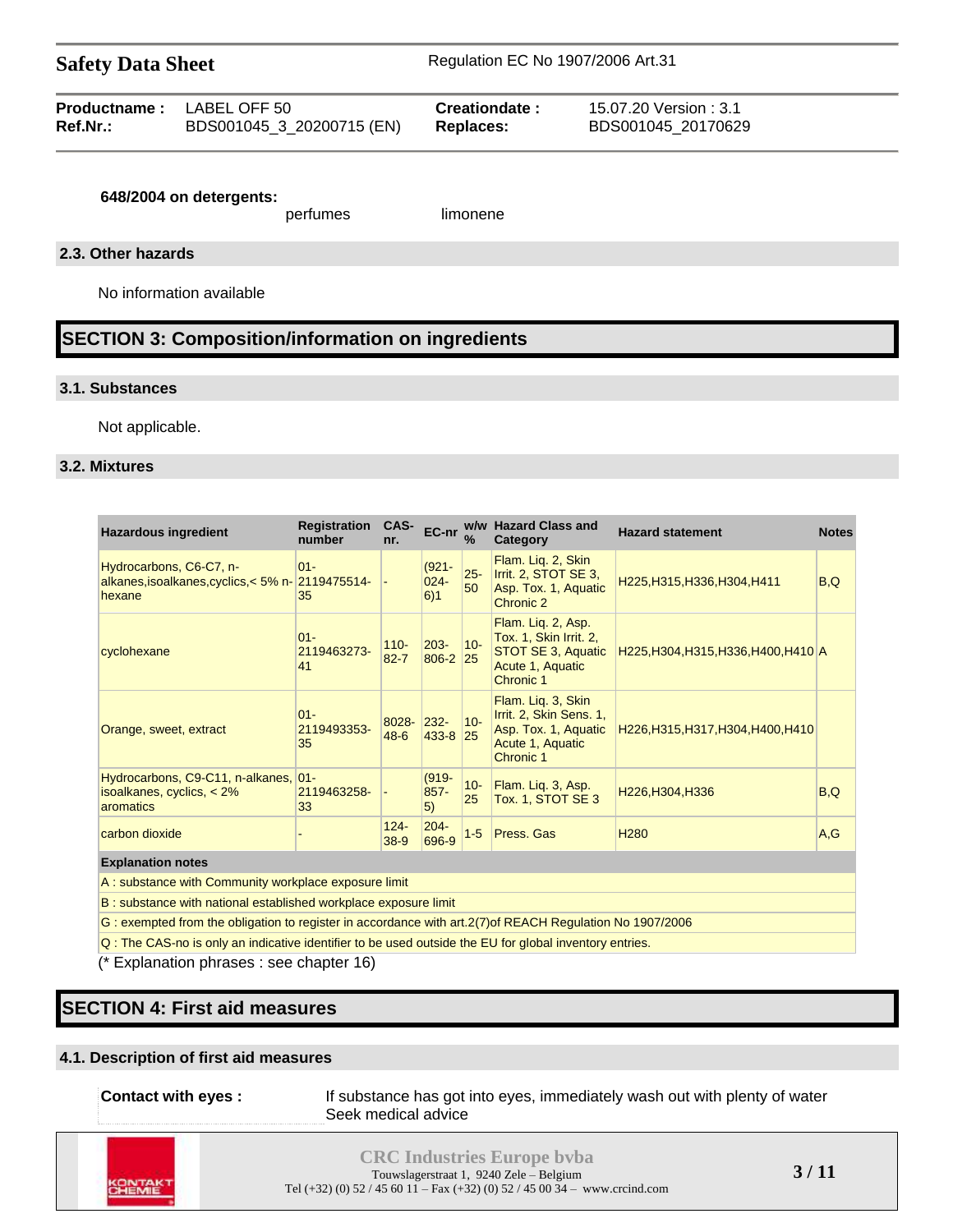| <b>Productname:</b> LABEL OFF 50 |                           | Creationdate :   | 15.07.20 Version : 3.1 |
|----------------------------------|---------------------------|------------------|------------------------|
| Ref.Nr.:                         | BDS001045_3_20200715 (EN) | <b>Replaces:</b> | BDS001045 20170629     |

#### **648/2004 on detergents:**

perfumes limonene

#### **2.3. Other hazards**

No information available

## **SECTION 3: Composition/information on ingredients**

#### **3.1. Substances**

Not applicable.

#### **3.2. Mixtures**

| <b>Hazardous ingredient</b>                                                                                      | <b>Registration</b><br>number | CAS-<br>nr.         | EC-nr                      | $\frac{9}{6}$ | w/w Hazard Class and<br>Category                                                                       | <b>Hazard statement</b>              | <b>Notes</b> |
|------------------------------------------------------------------------------------------------------------------|-------------------------------|---------------------|----------------------------|---------------|--------------------------------------------------------------------------------------------------------|--------------------------------------|--------------|
| Hydrocarbons, C6-C7, n-<br>alkanes, isoalkanes, cyclics, < 5% n- 2119475514-<br>hexane                           | $01 -$<br>35                  |                     | $(921 -$<br>$024 -$<br>6)1 | $25 -$<br>50  | Flam. Lig. 2, Skin<br>Irrit. 2, STOT SE 3,<br>Asp. Tox. 1, Aquatic<br>Chronic 2                        | H225, H315, H336, H304, H411         | B,Q          |
| cyclohexane                                                                                                      | $01 -$<br>2119463273-<br>41   | $110 -$<br>$82 - 7$ | $ 203 -$<br>806-2 25       | $10-$         | Flam. Lig. 2, Asp.<br>Tox. 1, Skin Irrit. 2,<br>STOT SE 3, Aquatic<br>Acute 1, Aquatic<br>Chronic 1    | H225, H304, H315, H336, H400, H410 A |              |
| Orange, sweet, extract                                                                                           | $01 -$<br>2119493353-<br>35   | 8028-232-<br>$48-6$ | 433-8 25                   | $ 10-$        | Flam. Lig. 3, Skin<br>Irrit. 2, Skin Sens. 1,<br>Asp. Tox. 1, Aquatic<br>Acute 1, Aquatic<br>Chronic 1 | H226, H315, H317, H304, H400, H410   |              |
| Hydrocarbons, C9-C11, n-alkanes,<br>isoalkanes, cyclics, $< 2\%$<br>aromatics                                    | $ 01 -$<br>2119463258-<br>33  |                     | $(919 -$<br>$857 -$<br>5)  | $10 -$<br>25  | Flam. Liq. 3, Asp.<br><b>Tox. 1, STOT SE 3</b>                                                         | H226, H304, H336                     | B,Q          |
| carbon dioxide                                                                                                   |                               | $124 -$<br>$38-9$   | $204 -$<br>696-9           | $1 - 5$       | Press. Gas                                                                                             | H <sub>280</sub>                     | A,G          |
| <b>Explanation notes</b>                                                                                         |                               |                     |                            |               |                                                                                                        |                                      |              |
| A: substance with Community workplace exposure limit                                                             |                               |                     |                            |               |                                                                                                        |                                      |              |
| B: substance with national established workplace exposure limit                                                  |                               |                     |                            |               |                                                                                                        |                                      |              |
| $O$ considered from the abligation to resistants according to different $O(7)$ of DEA OU Deputation Na 4007/0000 |                               |                     |                            |               |                                                                                                        |                                      |              |

G : exempted from the obligation to register in accordance with art.2(7)of REACH Regulation No 1907/2006

Q : The CAS-no is only an indicative identifier to be used outside the EU for global inventory entries.

(\* Explanation phrases : see chapter 16)

## **SECTION 4: First aid measures**

#### **4.1. Description of first aid measures**

| Contact with eyes : | If substance has got into eyes, immediately wash out with plenty of water |
|---------------------|---------------------------------------------------------------------------|
|                     | Seek medical advice                                                       |



**CRC Industries Europe bvba** Touwslagerstraat 1, 9240 Zele – Belgium Tel (+32) (0)  $52 / 45$  60  $11 -$  Fax (+32) (0)  $52 / 45$  00  $34 -$  www.crcind.com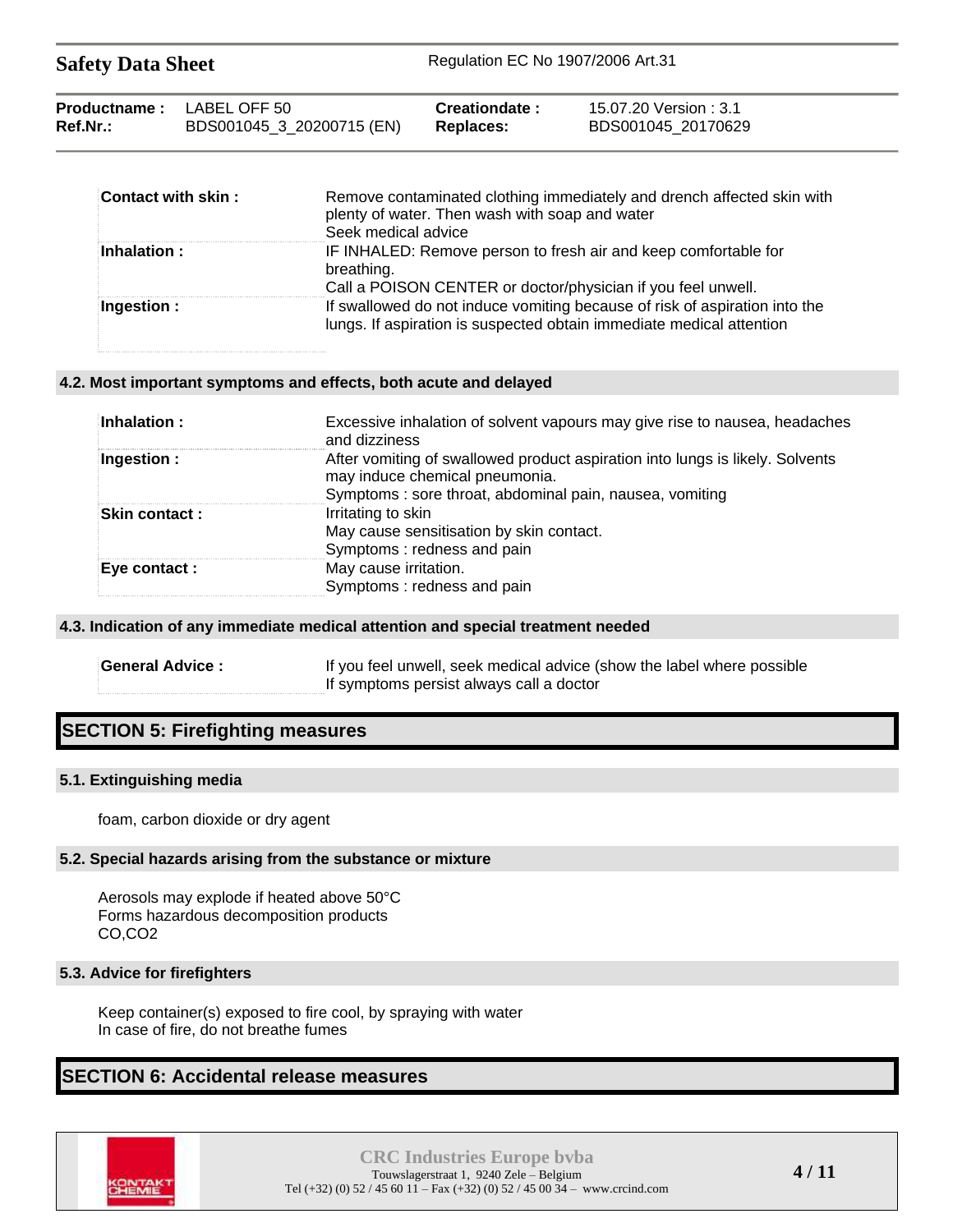| <b>Safety Data Sheet</b> | Regulation EC No 1907/2006 Art.31 |
|--------------------------|-----------------------------------|
|                          |                                   |

| <b>Productname:</b> LABEL OFF 50 |                           | Creationdate:    | 15.07.20 Version : 3.1 |
|----------------------------------|---------------------------|------------------|------------------------|
| Ref.Nr.:                         | BDS001045_3_20200715 (EN) | <b>Replaces:</b> | BDS001045 20170629     |

| Contact with skin: | Remove contaminated clothing immediately and drench affected skin with<br>plenty of water. Then wash with soap and water<br>Seek medical advice    |
|--------------------|----------------------------------------------------------------------------------------------------------------------------------------------------|
| <b>Inhalation:</b> | IF INHALED: Remove person to fresh air and keep comfortable for<br>breathing.<br>Call a POISON CENTER or doctor/physician if you feel unwell.      |
| Ingestion :        | If swallowed do not induce vomiting because of risk of aspiration into the<br>lungs. If aspiration is suspected obtain immediate medical attention |

#### **4.2. Most important symptoms and effects, both acute and delayed**

| Inhalation :  | Excessive inhalation of solvent vapours may give rise to nausea, headaches<br>and dizziness                                                                                |
|---------------|----------------------------------------------------------------------------------------------------------------------------------------------------------------------------|
| Ingestion:    | After vomiting of swallowed product aspiration into lungs is likely. Solvents<br>may induce chemical pneumonia.<br>Symptoms: sore throat, abdominal pain, nausea, vomiting |
| Skin contact: | Irritating to skin<br>May cause sensitisation by skin contact.<br>Symptoms: redness and pain                                                                               |
| Eye contact : | May cause irritation.<br>Symptoms: redness and pain                                                                                                                        |

#### **4.3. Indication of any immediate medical attention and special treatment needed**

| <b>General Advice :</b> | If you feel unwell, seek medical advice (show the label where possible |
|-------------------------|------------------------------------------------------------------------|
|                         | If symptoms persist always call a doctor                               |

## **SECTION 5: Firefighting measures**

#### **5.1. Extinguishing media**

foam, carbon dioxide or dry agent

#### **5.2. Special hazards arising from the substance or mixture**

Aerosols may explode if heated above 50°C Forms hazardous decomposition products CO,CO2

#### **5.3. Advice for firefighters**

Keep container(s) exposed to fire cool, by spraying with water In case of fire, do not breathe fumes

### **SECTION 6: Accidental release measures**

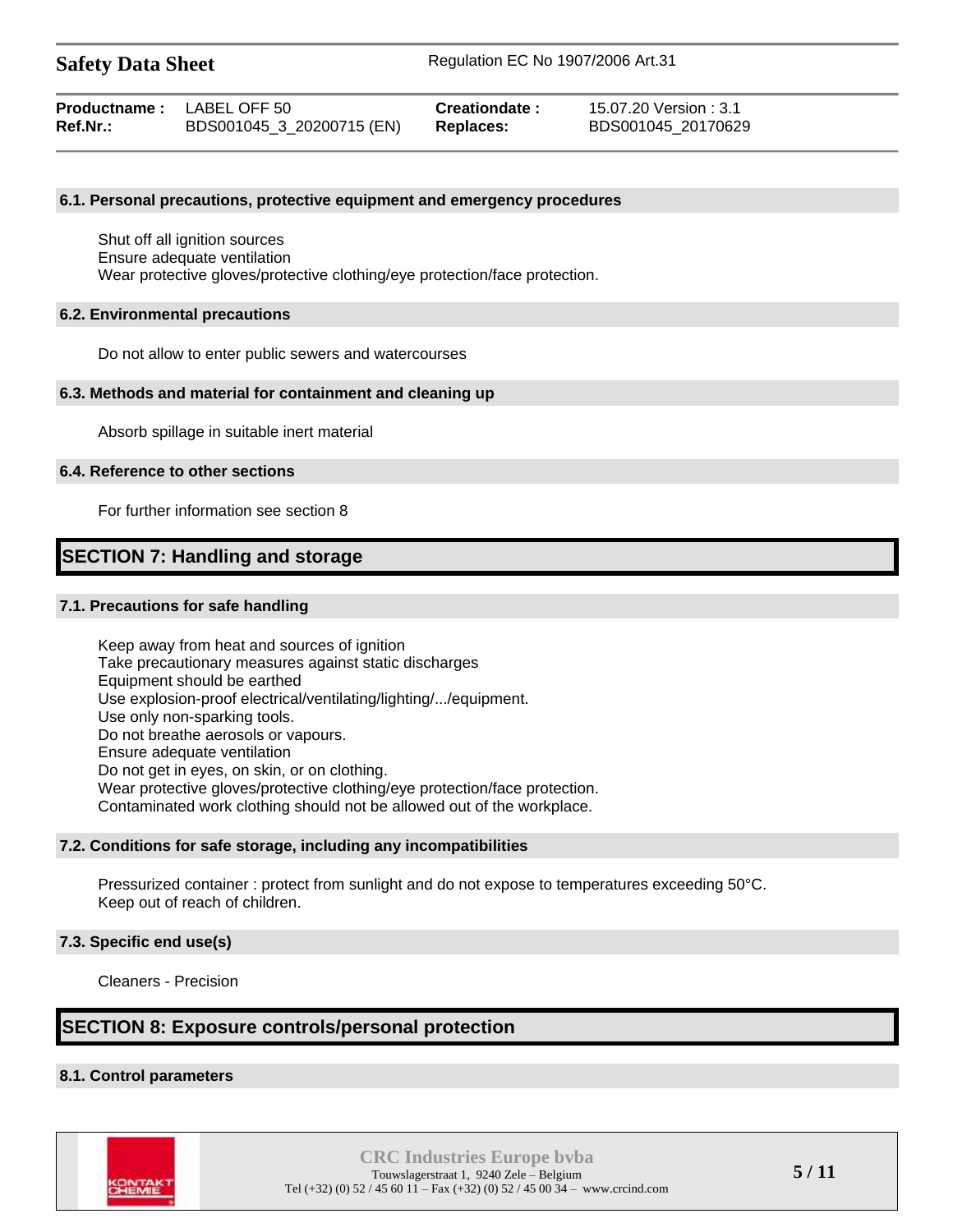| <b>Productname:</b> LABEL OFF 50 |                           | Creationdate: | 15.07.20 Version : 3.1 |
|----------------------------------|---------------------------|---------------|------------------------|
| Ref.Nr.:                         | BDS001045_3_20200715 (EN) | Replaces:     | BDS001045 20170629     |

#### **6.1. Personal precautions, protective equipment and emergency procedures**

Shut off all ignition sources Ensure adequate ventilation Wear protective gloves/protective clothing/eye protection/face protection.

#### **6.2. Environmental precautions**

Do not allow to enter public sewers and watercourses

#### **6.3. Methods and material for containment and cleaning up**

Absorb spillage in suitable inert material

#### **6.4. Reference to other sections**

For further information see section 8

## **SECTION 7: Handling and storage**

#### **7.1. Precautions for safe handling**

Keep away from heat and sources of ignition Take precautionary measures against static discharges Equipment should be earthed Use explosion-proof electrical/ventilating/lighting/.../equipment. Use only non-sparking tools. Do not breathe aerosols or vapours. Ensure adequate ventilation Do not get in eyes, on skin, or on clothing. Wear protective gloves/protective clothing/eye protection/face protection. Contaminated work clothing should not be allowed out of the workplace.

#### **7.2. Conditions for safe storage, including any incompatibilities**

Pressurized container : protect from sunlight and do not expose to temperatures exceeding 50°C. Keep out of reach of children.

#### **7.3. Specific end use(s)**

Cleaners - Precision

## **SECTION 8: Exposure controls/personal protection**

#### **8.1. Control parameters**

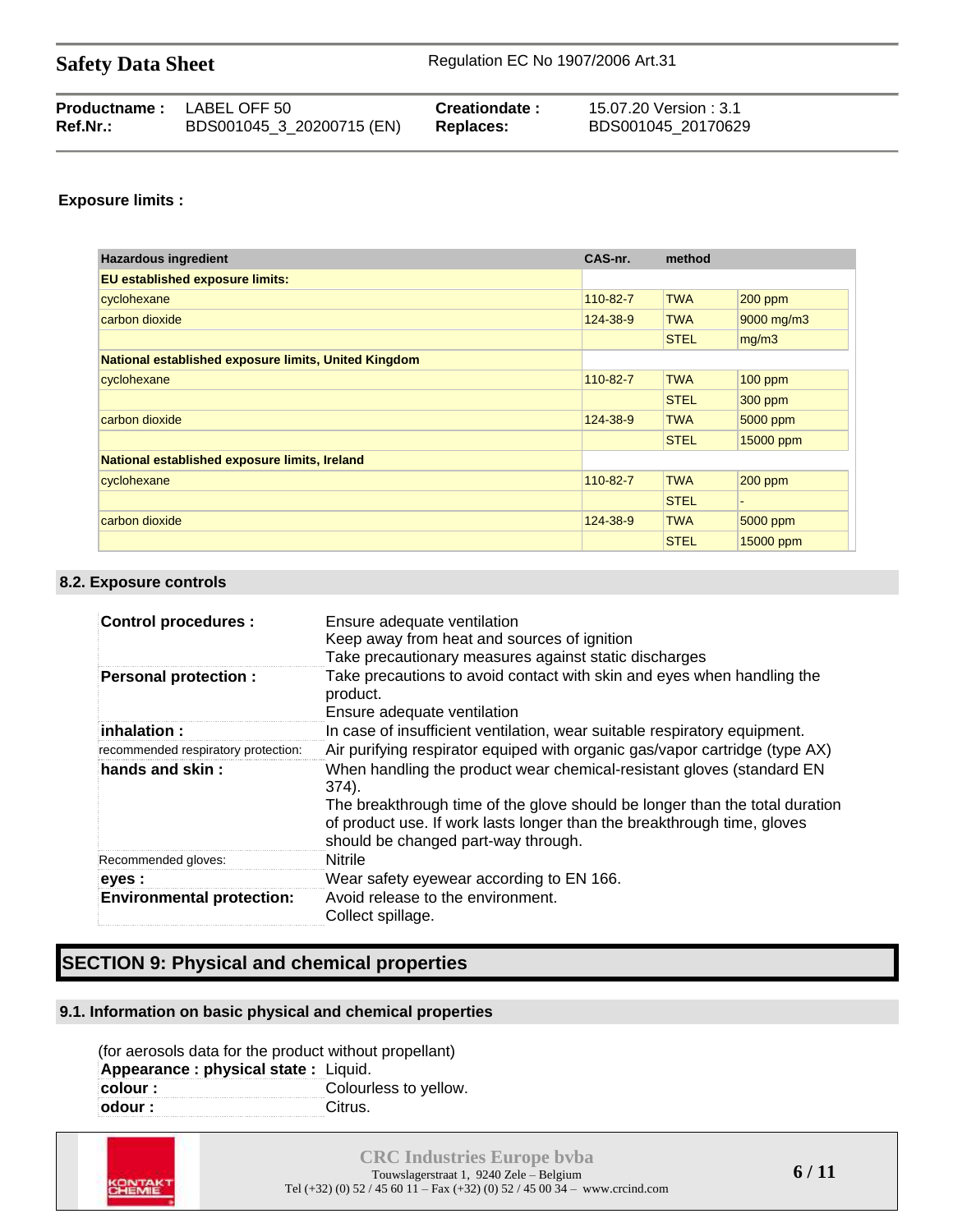| <b>Safety Data Sheet</b> | Regulation EC No 1907/2006 Art.31 |
|--------------------------|-----------------------------------|
|--------------------------|-----------------------------------|

| <b>Productname:</b> LABEL OFF 50 |                           | Creationdate:    | 15.07.20 Version : 3.1 |
|----------------------------------|---------------------------|------------------|------------------------|
| Ref.Nr.:                         | BDS001045_3_20200715 (EN) | <b>Replaces:</b> | BDS001045 20170629     |

#### **Exposure limits :**

| <b>Hazardous ingredient</b>                          | CAS-nr.  | method      |            |
|------------------------------------------------------|----------|-------------|------------|
| <b>EU established exposure limits:</b>               |          |             |            |
| cyclohexane                                          | 110-82-7 | <b>TWA</b>  | $200$ ppm  |
| carbon dioxide                                       | 124-38-9 | <b>TWA</b>  | 9000 mg/m3 |
|                                                      |          | <b>STEL</b> | mg/m3      |
| National established exposure limits, United Kingdom |          |             |            |
| cyclohexane                                          | 110-82-7 | <b>TWA</b>  | $100$ ppm  |
|                                                      |          | <b>STEL</b> | $300$ ppm  |
| carbon dioxide                                       | 124-38-9 | <b>TWA</b>  | 5000 ppm   |
|                                                      |          | <b>STEL</b> | 15000 ppm  |
| National established exposure limits, Ireland        |          |             |            |
| cyclohexane                                          | 110-82-7 | <b>TWA</b>  | $200$ ppm  |
|                                                      |          | <b>STEL</b> |            |
| carbon dioxide                                       | 124-38-9 | <b>TWA</b>  | 5000 ppm   |
|                                                      |          | <b>STEL</b> | 15000 ppm  |

#### **8.2. Exposure controls**

| <b>Control procedures:</b>          | Ensure adequate ventilation<br>Keep away from heat and sources of ignition<br>Take precautionary measures against static discharges                                                                                                                                             |
|-------------------------------------|---------------------------------------------------------------------------------------------------------------------------------------------------------------------------------------------------------------------------------------------------------------------------------|
| <b>Personal protection:</b>         | Take precautions to avoid contact with skin and eyes when handling the<br>product.<br>Ensure adequate ventilation                                                                                                                                                               |
| $\;$ inhalation :                   | In case of insufficient ventilation, wear suitable respiratory equipment.                                                                                                                                                                                                       |
| recommended respiratory protection: | Air purifying respirator equiped with organic gas/vapor cartridge (type AX)                                                                                                                                                                                                     |
| hands and skin:                     | When handling the product wear chemical-resistant gloves (standard EN<br>374).<br>The breakthrough time of the glove should be longer than the total duration<br>of product use. If work lasts longer than the breakthrough time, gloves<br>should be changed part-way through. |
| Recommended gloves:                 | <b>Nitrile</b>                                                                                                                                                                                                                                                                  |
| eyes :                              | Wear safety eyewear according to EN 166.                                                                                                                                                                                                                                        |
| <b>Environmental protection:</b>    | Avoid release to the environment.<br>Collect spillage.                                                                                                                                                                                                                          |

## **SECTION 9: Physical and chemical properties**

#### **9.1. Information on basic physical and chemical properties**

(for aerosols data for the product without propellant) **Appearance : physical state : Liquid.**<br> **colour : Colouring** Colourless to yellow. **odour :** Citrus.

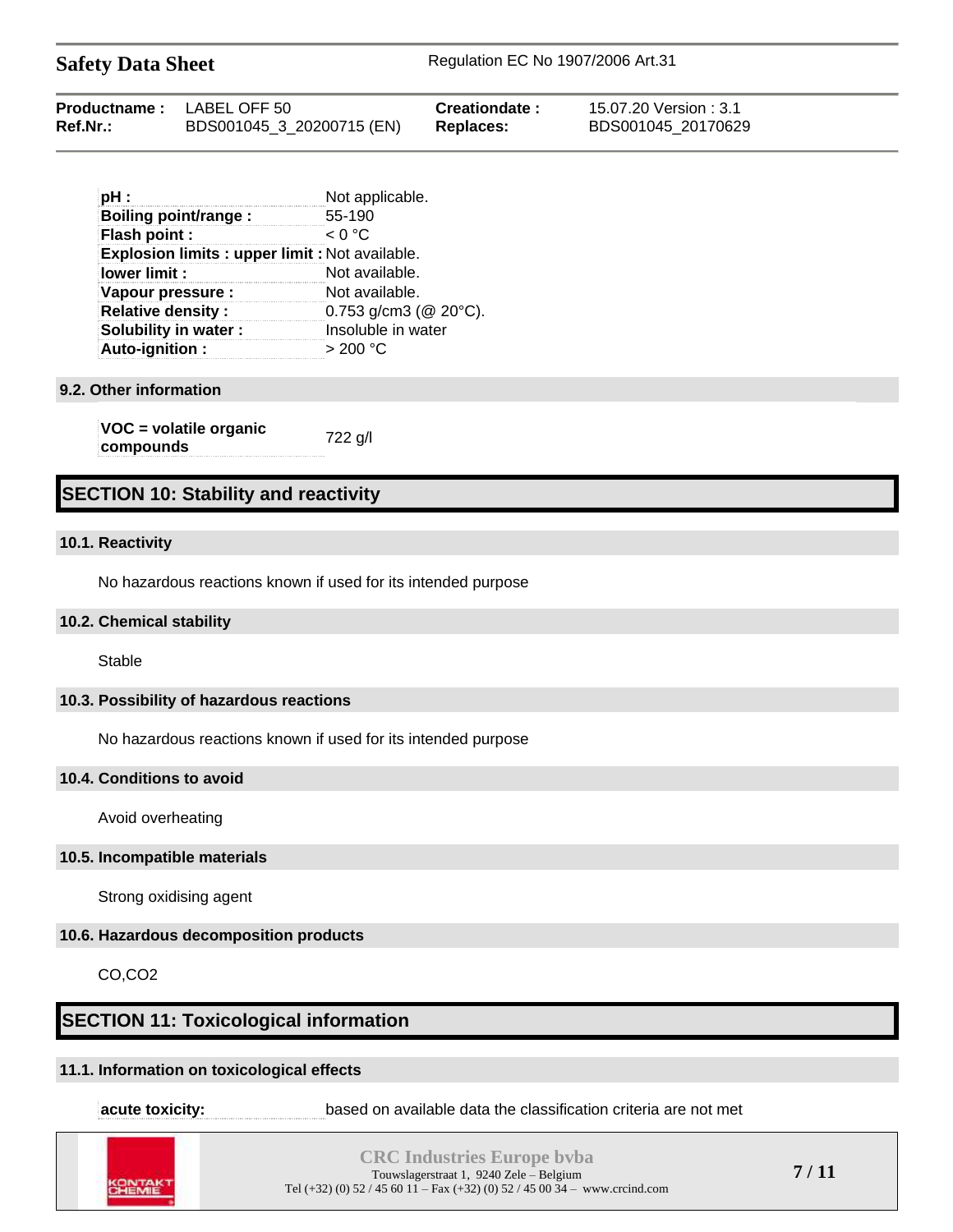| <b>Safety Data Sheet</b> |  |  |  |
|--------------------------|--|--|--|
|--------------------------|--|--|--|

| pH:                                                  | Not applicable.                    |
|------------------------------------------------------|------------------------------------|
| Boiling point/range:                                 | 55-190                             |
| Flash point :                                        | < 0 °C                             |
| <b>Explosion limits: upper limit: Not available.</b> |                                    |
| lower limit :                                        | Not available.                     |
| Vapour pressure :                                    | Not available.                     |
| <b>Relative density:</b>                             | $0.753$ g/cm3 (@ 20 $^{\circ}$ C). |
| <b>Solubility in water:</b>                          | Insoluble in water                 |
| Auto-ignition:                                       | $>$ 200 °C                         |

#### **9.2. Other information**

**VOC = volatile organic compounds** 722 g/l

## **SECTION 10: Stability and reactivity**

#### **10.1. Reactivity**

No hazardous reactions known if used for its intended purpose

#### **10.2. Chemical stability**

Stable

#### **10.3. Possibility of hazardous reactions**

No hazardous reactions known if used for its intended purpose

#### **10.4. Conditions to avoid**

Avoid overheating

#### **10.5. Incompatible materials**

Strong oxidising agent

#### **10.6. Hazardous decomposition products**

CO,CO2

## **SECTION 11: Toxicological information**

#### **11.1. Information on toxicological effects**

**acute toxicity: based on available data the classification criteria are not met** 



**CRC Industries Europe bvba** Touwslagerstraat 1, 9240 Zele – Belgium Tel (+32) (0) 52 / 45 60 11 – Fax (+32) (0) 52 / 45 00 34 – www.crcind.com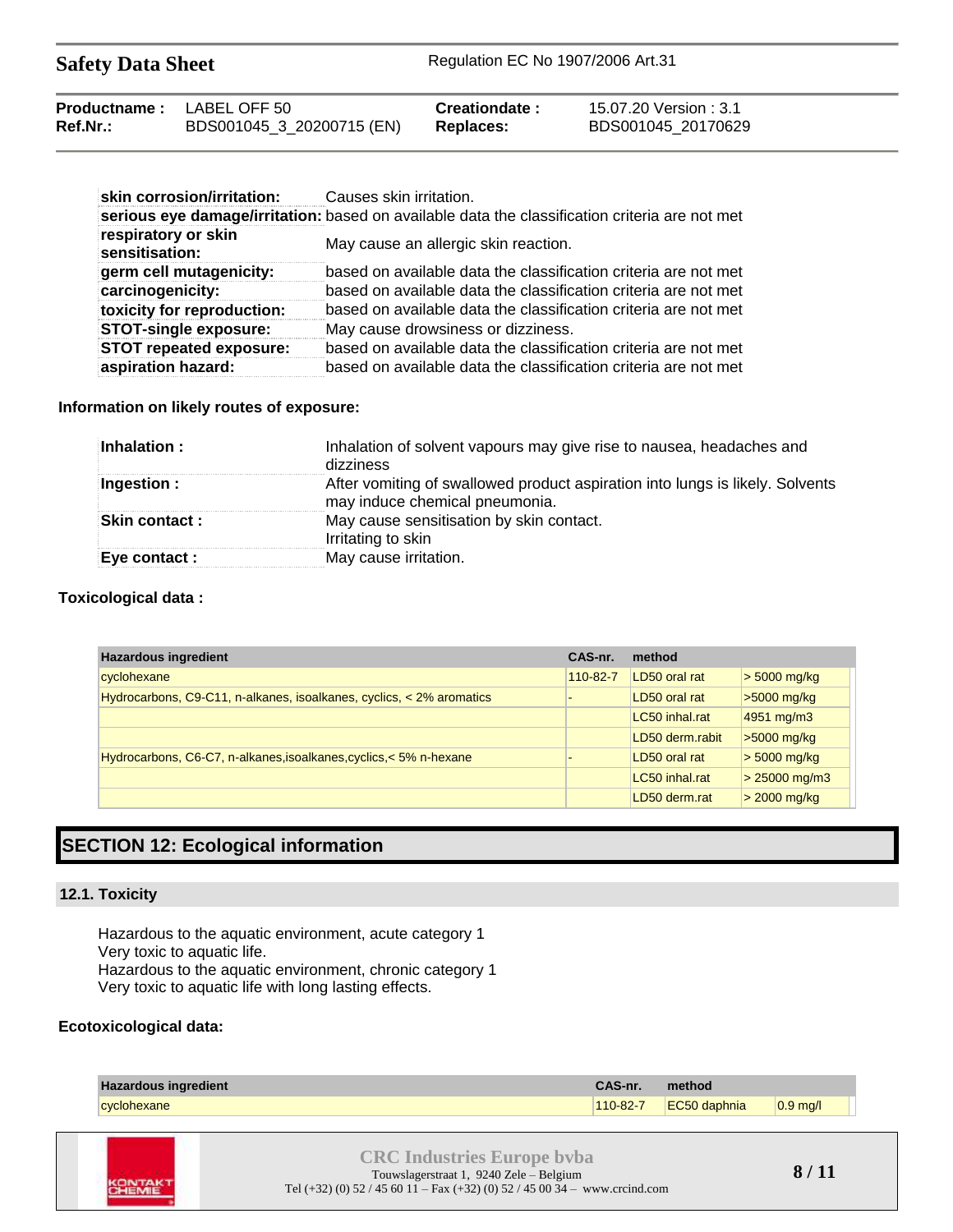| Productname: | LABEL OFF 50              | Creationdate: | 15.07.20 Version : 3.1 |
|--------------|---------------------------|---------------|------------------------|
| Ref.Nr.:     | BDS001045_3_20200715 (EN) | Replaces:     | BDS001045 20170629     |

| skin corrosion/irritation:            | Causes skin irritation.                                                                        |
|---------------------------------------|------------------------------------------------------------------------------------------------|
|                                       | serious eye damage/irritation: based on available data the classification criteria are not met |
| respiratory or skin<br>sensitisation: | May cause an allergic skin reaction.                                                           |
| germ cell mutagenicity:               | based on available data the classification criteria are not met                                |
| carcinogenicity:                      | based on available data the classification criteria are not met                                |
| toxicity for reproduction:            | based on available data the classification criteria are not met                                |
| <b>STOT-single exposure:</b>          | May cause drowsiness or dizziness.                                                             |
| <b>STOT repeated exposure:</b>        | based on available data the classification criteria are not met                                |
| aspiration hazard:                    | based on available data the classification criteria are not met                                |

**Information on likely routes of exposure:**

| Inhalation :          | Inhalation of solvent vapours may give rise to nausea, headaches and<br>dizziness                               |
|-----------------------|-----------------------------------------------------------------------------------------------------------------|
| Ingestion :           | After vomiting of swallowed product aspiration into lungs is likely. Solvents<br>may induce chemical pneumonia. |
| <b>Skin contact :</b> | May cause sensitisation by skin contact.<br>Irritating to skin                                                  |
| Eye contact :         | May cause irritation.                                                                                           |

#### **Toxicological data :**

| <b>Hazardous ingredient</b>                                          | CAS-nr.  | method          |                 |
|----------------------------------------------------------------------|----------|-----------------|-----------------|
| cyclohexane                                                          | 110-82-7 | LD50 oral rat   | $> 5000$ mg/kg  |
| Hydrocarbons, C9-C11, n-alkanes, isoalkanes, cyclics, < 2% aromatics |          | LD50 oral rat   | $>5000$ mg/kg   |
|                                                                      |          | LC50 inhal.rat  | 4951 mg/m3      |
|                                                                      |          | LD50 derm.rabit | $>5000$ mg/kg   |
| Hydrocarbons, C6-C7, n-alkanes, isoalkanes, cyclics, < 5% n-hexane   |          | LD50 oral rat   | $> 5000$ mg/kg  |
|                                                                      |          | LC50 inhal.rat  | $> 25000$ mg/m3 |
|                                                                      |          | LD50 derm.rat   | $>$ 2000 mg/kg  |

## **SECTION 12: Ecological information**

### **12.1. Toxicity**

Hazardous to the aquatic environment, acute category 1 Very toxic to aquatic life.

Hazardous to the aquatic environment, chronic category 1 Very toxic to aquatic life with long lasting effects.

### **Ecotoxicological data:**

| <b>Hazardous ingredient</b> | CAS-nr.  | method       |            |
|-----------------------------|----------|--------------|------------|
| cionexane                   | 110-82-7 | EC50 daphnia | $0.9$ mg/l |

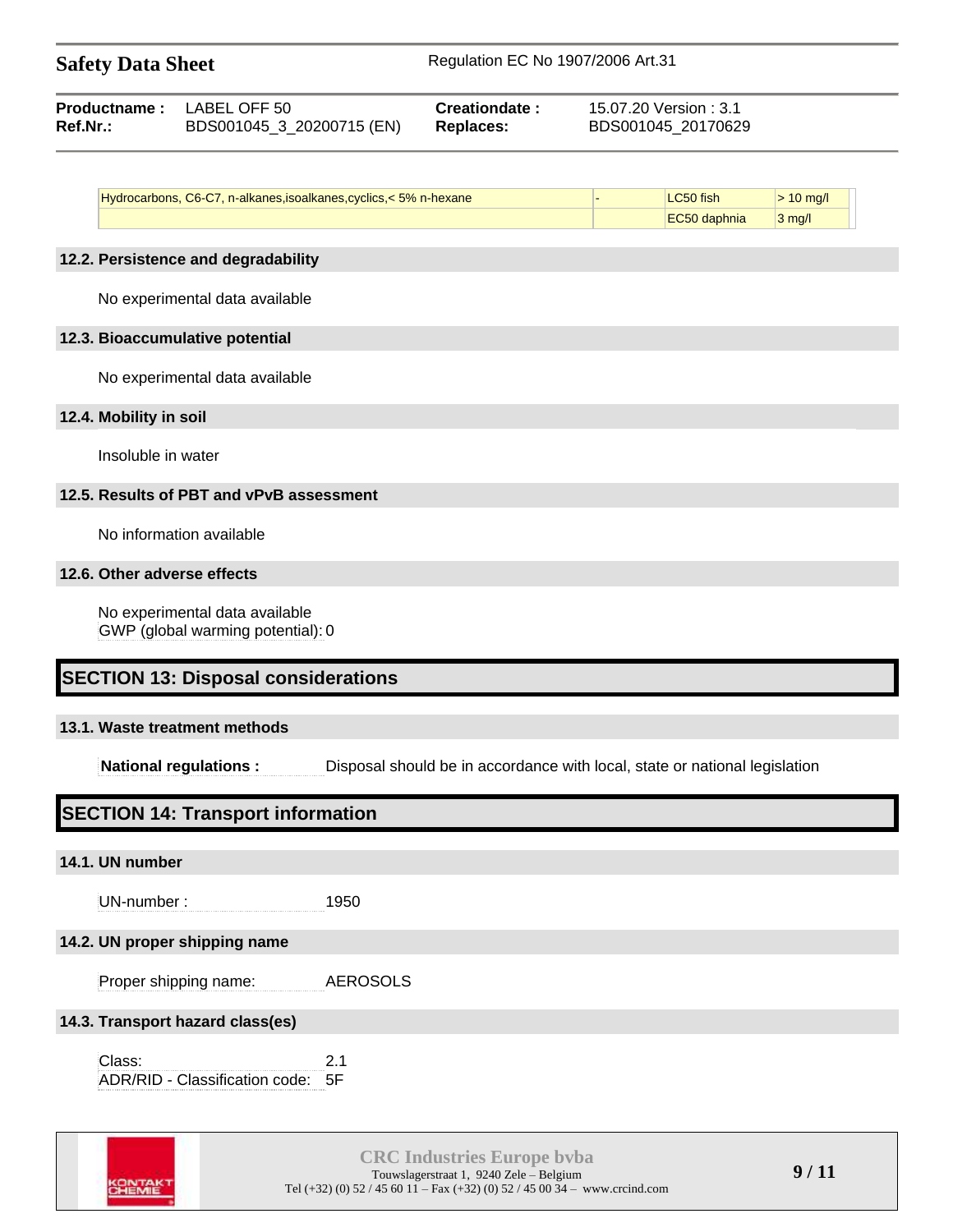| <b>Safety Data Sheet</b> |                        |                             | Regulation EC No 1907/2006 Art.31                                                                                                                                                                                                                                                                                                                                                    |  |
|--------------------------|------------------------|-----------------------------|--------------------------------------------------------------------------------------------------------------------------------------------------------------------------------------------------------------------------------------------------------------------------------------------------------------------------------------------------------------------------------------|--|
|                          | <b>BUILDING TABLES</b> | $\sim$ $\sim$ $\sim$ $\sim$ | $\overline{1}$ $\overline{2}$ $\overline{3}$ $\overline{2}$ $\overline{3}$ $\overline{3}$ $\overline{1}$ $\overline{1}$ $\overline{2}$ $\overline{3}$ $\overline{4}$ $\overline{3}$ $\overline{4}$ $\overline{2}$ $\overline{3}$ $\overline{4}$ $\overline{2}$ $\overline{3}$ $\overline{4}$ $\overline{2}$ $\overline{3}$ $\overline{4}$ $\overline{2}$ $\overline{3}$ $\overline{$ |  |

|                 | <b>Productname: LABEL OFF 50</b> | Creationdate: | 15.07.20 Version : 3.1 |  |
|-----------------|----------------------------------|---------------|------------------------|--|
| <b>Ref.Nr.:</b> | BDS001045 3 20200715 (EN)        | Replaces:     | BDS001045 20170629     |  |

| Hydrocarbons, C6-C7, n-alkanes, isoalkanes, cyclics, < 5% n-hexane | fish  |     |
|--------------------------------------------------------------------|-------|-----|
|                                                                    | phnia | ma/ |

#### **12.2. Persistence and degradability**

No experimental data available

#### **12.3. Bioaccumulative potential**

No experimental data available

#### **12.4. Mobility in soil**

Insoluble in water

### **12.5. Results of PBT and vPvB assessment**

No information available

#### **12.6. Other adverse effects**

No experimental data available GWP (global warming potential): 0

## **SECTION 13: Disposal considerations**

### **13.1. Waste treatment methods**

**National regulations :** Disposal should be in accordance with local, state or national legislation

# **SECTION 14: Transport information**

### **14.1. UN number**

UN-number : 1950

### **14.2. UN proper shipping name**

Proper shipping name: AEROSOLS

### **14.3. Transport hazard class(es)**

Class: 2.1 ADR/RID - Classification code: 5F

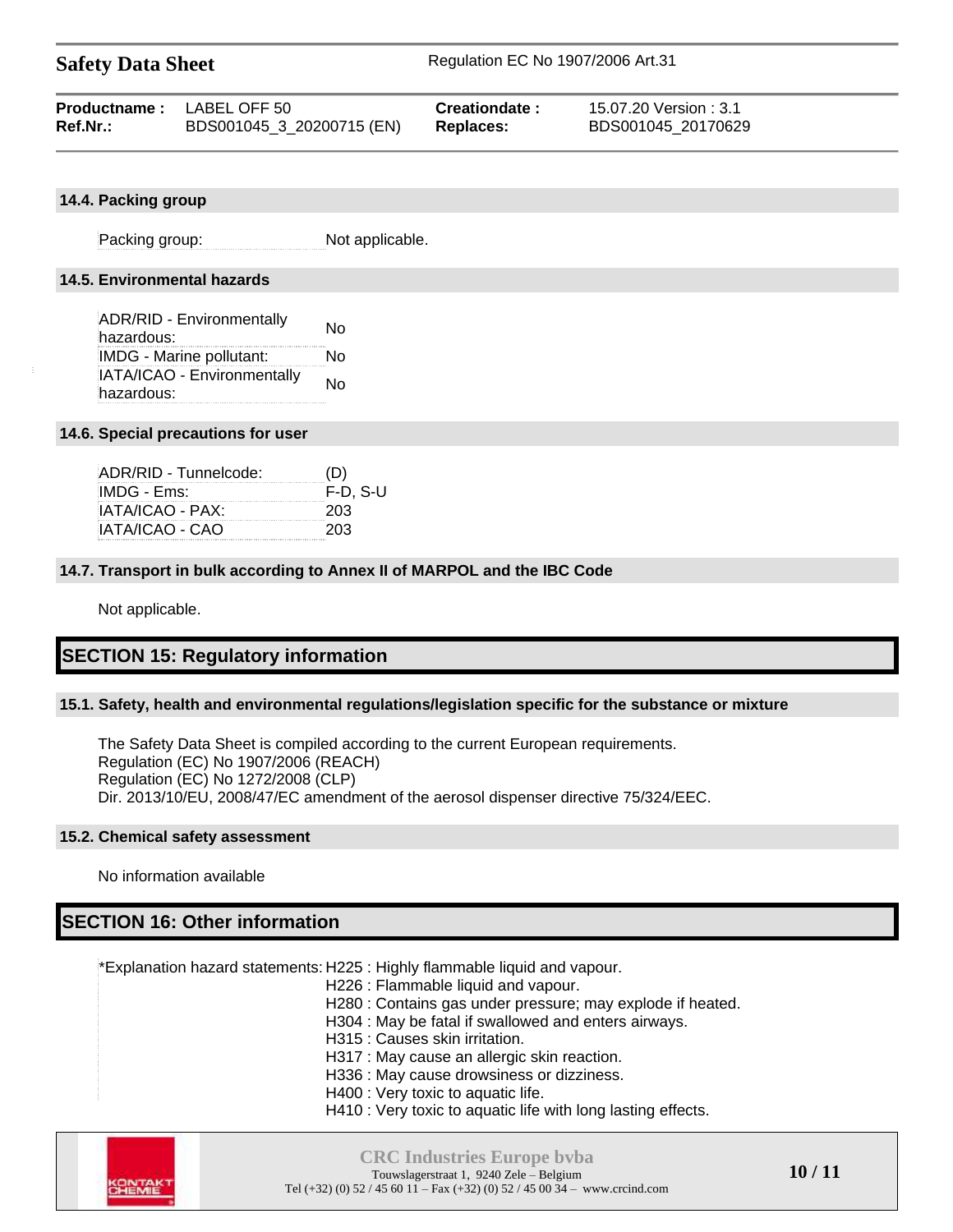| <b>Productname:</b> LABEL OFF 50 |                           | Creationdate:    | 15.07.20 Version : 3.1 |
|----------------------------------|---------------------------|------------------|------------------------|
| Ref.Nr.:                         | BDS001045_3_20200715 (EN) | <b>Replaces:</b> | BDS001045 20170629     |

#### **14.4. Packing group**

Packing group: Not applicable.

#### **14.5. Environmental hazards**

| <b>ADR/RID - Environmentally</b><br>hazardous: | N٥ |
|------------------------------------------------|----|
| <b>IMDG - Marine pollutant:</b>                | N٥ |
| IATA/ICAO - Environmentally                    | No |
| hazardous:                                     |    |

#### **14.6. Special precautions for user**

| ADR/RID - Tunnelcode: | (D)        |
|-----------------------|------------|
| IMDG - Ems:           | $F-D. S-U$ |
| IATA/ICAO - PAX:      | 203        |
| IATA/ICAO - CAO       | 203        |

#### **14.7. Transport in bulk according to Annex II of MARPOL and the IBC Code**

Not applicable.

## **SECTION 15: Regulatory information**

#### **15.1. Safety, health and environmental regulations/legislation specific for the substance or mixture**

The Safety Data Sheet is compiled according to the current European requirements. Regulation (EC) No 1907/2006 (REACH) Regulation (EC) No 1272/2008 (CLP) Dir. 2013/10/EU, 2008/47/EC amendment of the aerosol dispenser directive 75/324/EEC.

#### **15.2. Chemical safety assessment**

No information available

## **SECTION 16: Other information**

\*Explanation hazard statements: H225 : Highly flammable liquid and vapour.

- H226 : Flammable liquid and vapour.
- H280 : Contains gas under pressure; may explode if heated.
- H304 : May be fatal if swallowed and enters airways.
- H315 : Causes skin irritation.
- H317 : May cause an allergic skin reaction.
- H336 : May cause drowsiness or dizziness.
- H400 : Very toxic to aquatic life.
- H410 : Very toxic to aquatic life with long lasting effects.